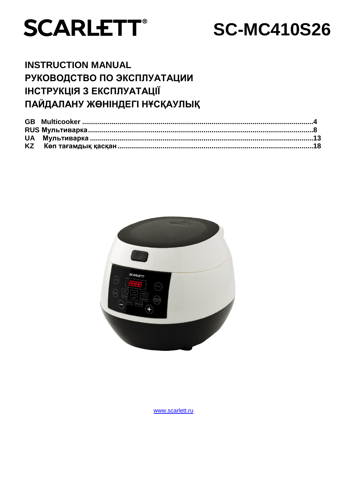

# **SC-MC410S26**

### **INSTRUCTION MANUAL** РУКОВОДСТВО ПО ЭКСПЛУАТАЦИИ ІНСТРУКЦІЯ З ЕКСПЛУАТАЦІЇ ПАЙДАЛАНУ ЖӨНІНДЕГІ НҰСҚАУЛЫҚ



www.scarlett.ru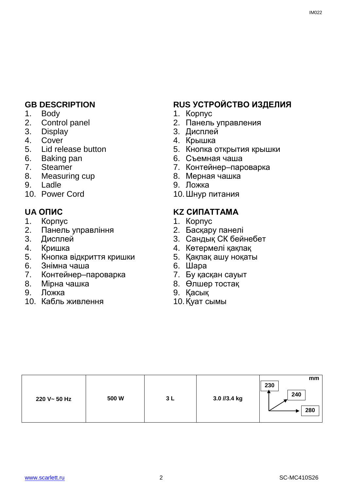- 1. Body
- 2. Control panel
- 3. Display
- 4. Cover
- 5. Lid release button
- 6. Baking pan
- 7. Steamer
- 8. Measuring cup
- 9. Ladle
- 10. Power Cord

- 1. Корпус
- 2. Панель управління
- 3. Дисплей
- 4. Кришка
- 5. Кнопка відкриття кришки
- 6. Знімна чаша
- 7. Контейнер–пароварка
- 8. Мірна чашка
- 9. Ложка
- 10. Кабль живлення

### **GB DESCRIPTION RUS УСТРОЙСТВО ИЗДЕЛИЯ**

- 1. Корпус
- 2. Панель управления
- 3. Дисплей
- 4. Крышка
- 5. Кнопка открытия крышки
- 6. Съемная чаша
- 7. Контейнер–пароварка
- 8. Мерная чашка
- 9. Ложка
- 10.Шнур питания

### **UA ОПИС KZ СИПАТТАМА**

- 1. Корпус
- 2. Басқару панелі
- 3. Сандық СК бейнебет
- 4. Көтермелі қақпақ
- 5. Қақпақ ашу ноқаты
- 6. Шара
- 7. Бу қасқан сауыт
- 8. Өлшер тостақ
- 9. Қасық
- 10.Қуат сымы

| 220 V~ 50 Hz | 500 W | 3L | 3.0 //3.4 kg | mm<br>230<br>240<br>280 |
|--------------|-------|----|--------------|-------------------------|
|--------------|-------|----|--------------|-------------------------|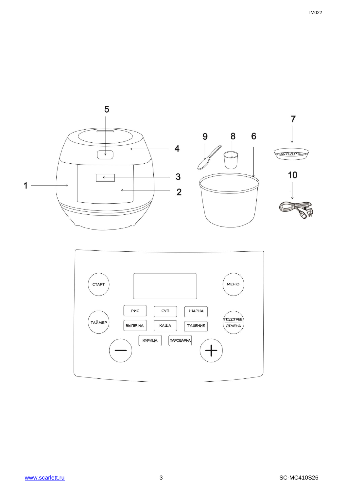

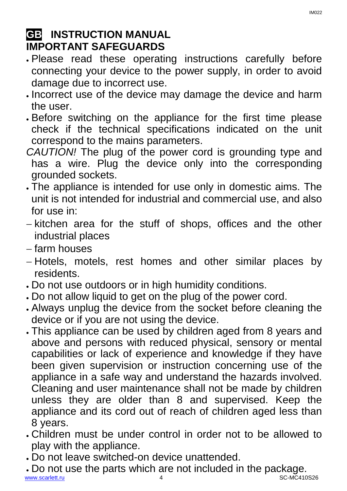## **GB INSTRUCTION MANUAL IMPORTANT SAFEGUARDS**

- Please read these operating instructions carefully before connecting your device to the power supply, in order to avoid damage due to incorrect use.
- Incorrect use of the device may damage the device and harm the user.
- Before switching on the appliance for the first time please check if the technical specifications indicated on the unit correspond to the mains parameters.
- *CAUTION!* The plug of the power cord is grounding type and has a wire. Plug the device only into the corresponding grounded sockets.
- The appliance is intended for use only in domestic aims. The unit is not intended for industrial and commercial use, and also for use in:
- $-$  kitchen area for the stuff of shops, offices and the other industrial places
- farm houses
- Hotels, motels, rest homes and other similar places by residents.
- Do not use outdoors or in high humidity conditions.
- Do not allow liquid to get on the plug of the power cord.
- Always unplug the device from the socket before cleaning the device or if you are not using the device.
- This appliance can be used by children aged from 8 years and above and persons with reduced physical, sensory or mental capabilities or lack of experience and knowledge if they have been given supervision or instruction concerning use of the appliance in a safe way and understand the hazards involved. Cleaning and user maintenance shall not be made by children unless they are older than 8 and supervised. Keep the appliance and its cord out of reach of children aged less than 8 years.
- Children must be under control in order not to be allowed to play with the appliance.
- Do not leave switched-on device unattended.
- [www.scarlett.ru](http://www.scarlett.ru/) 4 SC-MC410S26 Do not use the parts which are not included in the package.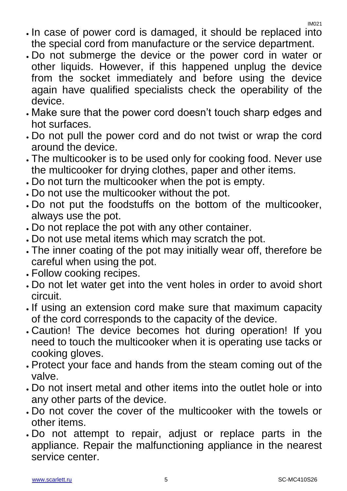- . In case of power cord is damaged, it should be replaced into the special cord from manufacture or the service department.
- Do not submerge the device or the power cord in water or other liquids. However, if this happened unplug the device from the socket immediately and before using the device again have qualified specialists check the operability of the device.
- Make sure that the power cord doesn't touch sharp edges and hot surfaces.
- Do not pull the power cord and do not twist or wrap the cord around the device.
- The multicooker is to be used only for cooking food. Never use the multicooker for drying clothes, paper and other items.
- Do not turn the multicooker when the pot is empty.
- Do not use the multicooker without the pot.
- Do not put the foodstuffs on the bottom of the multicooker, always use the pot.
- Do not replace the pot with any other container.
- Do not use metal items which may scratch the pot.
- The inner coating of the pot may initially wear off, therefore be careful when using the pot.
- Follow cooking recipes.
- Do not let water get into the vent holes in order to avoid short circuit.
- . If using an extension cord make sure that maximum capacity of the cord corresponds to the capacity of the device.
- Caution! The device becomes hot during operation! If you need to touch the multicooker when it is operating use tacks or cooking gloves.
- Protect your face and hands from the steam coming out of the valve.
- Do not insert metal and other items into the outlet hole or into any other parts of the device.
- Do not cover the cover of the multicooker with the towels or other items.
- Do not attempt to repair, adjust or replace parts in the appliance. Repair the malfunctioning appliance in the nearest service center.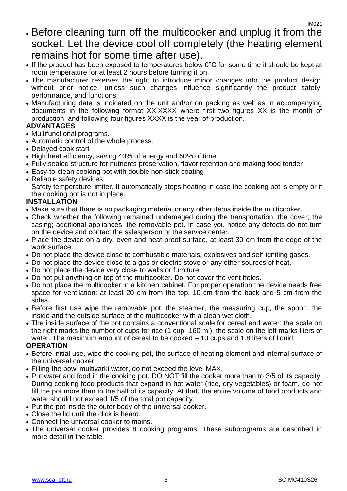- Before cleaning turn off the multicooker and unplug it from the socket. Let the device cool off completely (the heating element remains hot for some time after use).
- If the product has been exposed to temperatures below 0°C for some time it should be kept at room temperature for at least 2 hours before turning it on.
- The manufacturer reserves the right to introduce minor changes into the product design without prior notice, unless such changes influence significantly the product safety, performance, and functions.
- Manufacturing date is indicated on the unit and/or on packing as well as in accompanying documents in the following format XX.XXXX where first two figures XX is the month of production, and following four figures XXXX is the year of production.

### **ADVANTAGES**

- Multifunctional programs.
- Automatic control of the whole process.
- Delayed cook start
- High heat efficiency, saving 40% of energy and 60% of time.
- Fully sealed structure for nutrients preservation, flavor retention and making food tender
- Easy-to-clean cooking pot with double non-stick coating
- Reliable safety devices:

Safety temperature limiter. It automatically stops heating in case the cooking pot is empty or if the cooking pot is not in place.

### **INSTALLATION**

- Make sure that there is no packaging material or any other items inside the multicooker.
- Check whether the following remained undamaged during the transportation: the cover; the casing; additional appliances; the removable pot. In case you notice any defects do not turn on the device and contact the salesperson or the service center.
- Place the device on a dry, even and heat-proof surface, at least 30 cm from the edge of the work surface.
- Do not place the device close to combustible materials, explosives and self-igniting gases.
- Do not place the device close to a gas or electric stove or any other sources of heat.
- Do not place the device very close to walls or furniture.
- Do not put anything on top of the multicooker. Do not cover the vent holes.
- Do not place the multicooker in a kitchen cabinet. For proper operation the device needs free space for ventilation: at least 20 cm from the top, 10 cm from the back and 5 cm from the sides.
- Before first use wipe the removable pot, the steamer, the measuring cup, the spoon, the inside and the outside surface of the multicooker with a clean wet cloth.
- The inside surface of the pot contains a conventional scale for cereal and water: the scale on the right marks the number of cups for rice (1 cup -160 ml), the scale on the left marks liters of water. The maximum amount of cereal to be cooked – 10 cups and 1.8 liters of liquid.

### **OPERATION**

- Before initial use, wipe the cooking pot, the surface of heating element and internal surface of the universal cooker.
- Filling the bowl multivarki water, do not exceed the level MAX.
- Put water and food in the cooking pot. DO NOT fill the cooker more than to 3/5 of its capacity. During cooking food products that expand in hot water (rice, dry vegetables) or foam, do not fill the pot more than to the half of its capacity. At that, the entire volume of food products and water should not exceed 1/5 of the total pot capacity.
- Put the pot inside the outer body of the universal cooker.
- Close the lid until the click is heard.
- Connect the universal cooker to mains.
- The universal cooker provides 8 cooking programs. These subprograms are described in more detail in the table.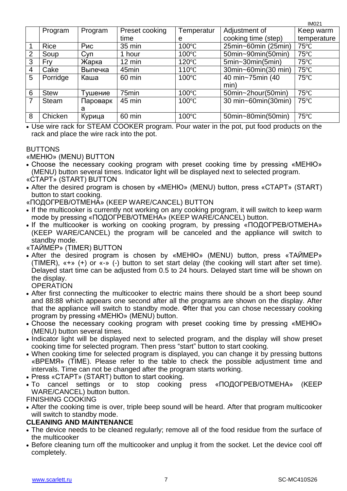|                |             |            |                  |                 |                     | <b>IM021</b>   |
|----------------|-------------|------------|------------------|-----------------|---------------------|----------------|
|                | Program     | Program    | Preset cooking   | Temperatur      | Adjustment of       | Keep warm      |
|                |             |            | time             | e               | cooking time (step) | temperature    |
|                | <b>Rice</b> | Рис        | 35 min           | 100°C           | 25min~60min (25min) | $75^{\circ}$ C |
| $\overline{2}$ | Soup        | <b>Суп</b> | 1 hour           | $100^{\circ}$ C | 50min~90min(50min)  | $75^{\circ}$ C |
| 3              | Fry         | Жарка      | $12 \text{ min}$ | $120^{\circ}$ C | $5min-30min(5min)$  | $75^{\circ}$ C |
| 4              | Cake        | Выпечка    | 45min            | $110^{\circ}$ C | 30min~60min(30 min) | $75^{\circ}$ C |
| 5              | Porridge    | Каша       | 60 min           | $100^{\circ}$ C | 40 min~75min (40    | $75^{\circ}$ C |
|                |             |            |                  |                 | min)                |                |
| 6              | <b>Stew</b> | Тушение    | 75min            | $100^{\circ}$ C | 50min~2hour(50min)  | $75^{\circ}$ C |
| 7              | Steam       | Пароварк   | 45 min           | $100^{\circ}$ C | 30 min~60min(30min) | $75^{\circ}$ C |
|                |             | a          |                  |                 |                     |                |
| 8              | Chicken     | Курица     | 60 min           | 100°C           | 50min~80min(50min)  | $75^{\circ}$ C |

 Use wire rack for STEAM COOKER program. Pour water in the pot, put food products on the rack and place the wire rack into the pot.

### BUTTONS

«МЕНЮ» (MENU) BUTTON

- Choose the necessary cooking program with preset cooking time by pressing «МЕНЮ» (MENU) button several times. Indicator light will be displayed next to selected program.
- «СТАРТ» (START) BUTTON
- After the desired program is chosen by «МЕНЮ» (MENU) button, press «СТАРТ» (START) button to start cooking.
- «ПОДОГРЕВ/ОТМЕНА» (KEEP WARE/CANCEL) BUTTON
- If the multicooker is currently not working on any cooking program, it will switch to keep warm mode by pressing «ПОДОГРЕВ/ОТМЕНА» (KEEP WARE/CANCEL) button.
- If the multicooker is working on cooking program, by pressing «ПОДОГРЕВ/ОТМЕНА» (KEEP WARE/CANCEL) the program will be canceled and the appliance will switch to standby mode.
- «ТАЙМЕР» (TIMER) BUTTON
- After the desired program is chosen by «МЕНЮ» (MENU) button, press «ТАЙМЕР» (TIMER), «+» (+) or «-» (-) button to set start delay (the cooking will start after set time). Delayed start time can be adjusted from 0.5 to 24 hours. Delayed start time will be shown on the display.
	- **OPERATION**
- After first connecting the multicooker to electric mains there should be a short beep sound and 88:88 which appears one second after all the programs are shown on the display. After that the appliance will switch to standby mode. Фfter that you can chose necessary cooking program by pressing «МЕНЮ» (MENU) button.
- Choose the necessary cooking program with preset cooking time by pressing «МЕНЮ» (MENU) button several times.
- Indicator light will be displayed next to selected program, and the display will show preset cooking time for selected program. Then press "start" button to start cooking.
- When cooking time for selected program is displayed, you can change it by pressing buttons «ВРЕМЯ» (TIME). Please refer to the table to check the possible adjustment time and intervals. Time can not be changed after the program starts working.
- Press «СТАРТ» (START) button to start cooking.
- To cancel settings or to stop cooking press «ПОДОГРЕВ/ОТМЕНА» (KEEP WARE/CANCEL) button button.

FINISHING COOKING

 After the cooking time is over, triple beep sound will be heard. After that program multicooker will switch to standby mode.

### **CLEANING AND MAINTENANCE**

- The device needs to be cleaned regularly; remove all of the food residue from the surface of the multicooker
- Before cleaning turn off the multicooker and unplug it from the socket. Let the device cool off completely.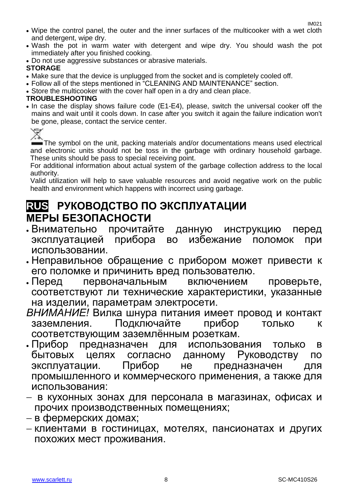- Wipe the control panel, the outer and the inner surfaces of the multicooker with a wet cloth and detergent, wipe dry.
- Wash the pot in warm water with detergent and wipe dry. You should wash the pot immediately after you finished cooking.
- Do not use aggressive substances or abrasive materials.

### **STORAGE**

- Make sure that the device is unplugged from the socket and is completely cooled off.
- Follow all of the steps mentioned in "CLEANING AND MAINTENANCE" section.
- Store the multicooker with the cover half open in a dry and clean place.

### **TROUBLESHOOTING**

 In case the display shows failure code (Е1-Е4), please, switch the universal cooker off the mains and wait until it cools down. In case after you switch it again the failure indication won't be gone, please, contact the service center.



The symbol on the unit, packing materials and/or documentations means used electrical and electronic units should not be toss in the garbage with ordinary household garbage. These units should be pass to special receiving point.

For additional information about actual system of the garbage collection address to the local authority.

Valid utilization will help to save valuable resources and avoid negative work on the public health and environment which happens with incorrect using garbage.

### **RUS РУКОВОДСТВО ПО ЭКСПЛУАТАЦИИ МЕРЫ БЕЗОПАСНОСТИ**

- Внимательно прочитайте данную инструкцию перед эксплуатацией прибора во избежание поломок при использовании.
- Неправильное обращение с прибором может привести к его поломке и причинить вред пользователю.
- Перед первоначальным включением проверьте, соответствуют ли технические характеристики, указанные на изделии, параметрам электросети.
- *ВНИМАНИЕ!* Вилка шнура питания имеет провод и контакт заземления. Подключайте прибор только к соответствующим заземлённым розеткам.
- Прибор предназначен для использования только в бытовых целях согласно данному Руководству по эксплуатации. Прибор не предназначен для промышленного и коммерческого применения, а также для использования:
- в кухонных зонах для персонала в магазинах, офисах и прочих производственных помещениях;
- в фермерских домах;
- клиентами в гостиницах, мотелях, пансионатах и других похожих мест проживания.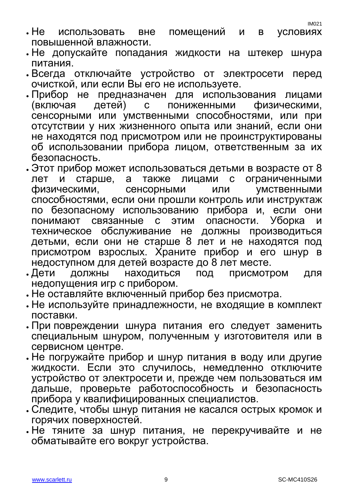- IM021
- Не использовать вне помещений и в условиях повышенной влажности.
- Не допускайте попадания жидкости на штекер шнура питания.
- Всегда отключайте устройство от электросети перед очисткой, или если Вы его не используете.
- Прибор не предназначен для использования лицами (включая детей) с пониженными физическими, сенсорными или умственными способностями, или при отсутствии у них жизненного опыта или знаний, если они не находятся под присмотром или не проинструктированы об использовании прибора лицом, ответственным за их безопасность.
- Этот прибор может использоваться детьми в возрасте от 8 лет и старше, а также лицами с ограниченными физическими, сенсорными или умственными способностями, если они прошли контроль или инструктаж по безопасному использованию прибора и, если они понимают связанные с этим опасности. Уборка и техническое обслуживание не должны производиться детьми, если они не старше 8 лет и не находятся под присмотром взрослых. Храните прибор и его шнур в недоступном для детей возрасте до 8 лет месте.
- Дети должны находиться под присмотром для недопущения игр с прибором.
- Не оставляйте включенный прибор без присмотра.
- Не используйте принадлежности, не входящие в комплект поставки.
- При повреждении шнура питания его следует заменить специальным шнуром, полученным у изготовителя или в сервисном центре.
- Не погружайте прибор и шнур питания в воду или другие жидкости. Если это случилось, немедленно отключите устройство от электросети и, прежде чем пользоваться им дальше, проверьте работоспособность и безопасность прибора у квалифицированных специалистов.
- Следите, чтобы шнур питания не касался острых кромок и горячих поверхностей.
- Не тяните за шнур питания, не перекручивайте и не обматывайте его вокруг устройства.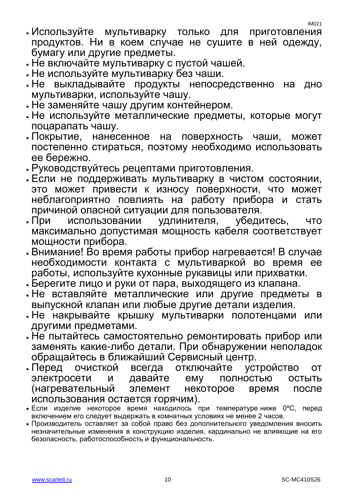- Используйте мультиварку только для приготовления продуктов. Ни в коем случае не сушите в ней одежду, бумагу или другие предметы.
- Не включайте мультиварку с пустой чашей.
- Не используйте мультиварку без чаши.
- Не выкладывайте продукты непосредственно на дно мультиварки, используйте чашу.
- Не заменяйте чашу другим контейнером.
- Не используйте металлические предметы, которые могут поцарапать чашу.
- Покрытие, нанесенное на поверхность чаши, может постепенно стираться, поэтому необходимо использовать ее бережно.
- Руководствуйтесь рецептами приготовления.
- Если не поддерживать мультиварку в чистом состоянии, это может привести к износу поверхности, что может неблагоприятно повлиять на работу прибора и стать причиной опасной ситуации для пользователя.
- При использовании удлинителя, убедитесь, что максимально допустимая мощность кабеля соответствует мощности прибора.
- Внимание! Во время работы прибор нагревается! В случае необходимости контакта с мультиваркой во время ее работы, используйте кухонные рукавицы или прихватки.
- Берегите лицо и руки от пара, выходящего из клапана.
- Не вставляйте металлические или другие предметы в выпускной клапан или любые другие детали изделия.
- Не накрывайте крышку мультиварки полотенцами или другими предметами.
- Не пытайтесь самостоятельно ремонтировать прибор или заменять какие-либо детали. При обнаружении неполадок обращайтесь в ближайший Сервисный центр.
- Перед очисткой всегда отключайте устройство от электросети и давайте ему полностью остыть (нагревательный элемент некоторое время после использования остается горячим).
- Если изделие некоторое время находилось при температурениже 0°С, перед включением его следует выдержать в комнатных условиях не менее 2 часов.
- Производитель оставляет за собой право без дополнительного уведомления вносить незначительные изменения в конструкцию изделия, кардинально не влияющие на его безопасность, работоспособность и функциональность.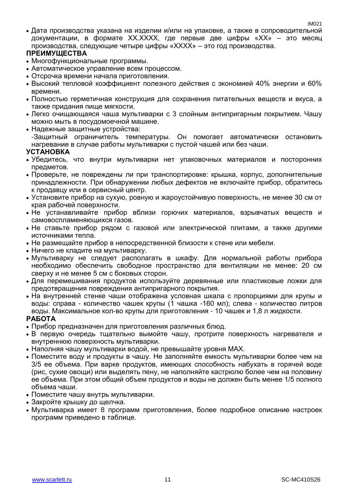Дата производства указана на изделии и/или на упаковке, а также в сопроводительной документации, в формате XX.XXXX, где первые две цифры «XX» – это месяц производства, следующие четыре цифры «XXXX» – это год производства.

### **ПРЕИМУЩЕСТВА**

- Многофункциональные программы.
- Автоматическое управление всем процессом.
- Отсрочка времени начала приготовления.
- Высокий тепловой коэффициент полезного действия с экономией 40% энергии и 60% времени.
- Полностью герметичная конструкция для сохранения питательных веществ и вкуса, а также придания пище мягкости.
- Легко очищающаяся чаша мультиварки с 3 слойным антипригарным покрытием. Чашу можно мыть в посудомоечной машине.
- Надежные защитные устройства: -Защитный ограничитель температуры. Он помогает автоматически остановить нагревание в случае работы мультиварки с пустой чашей или без чаши.

### **УСТАНОВКА**

- Убедитесь, что внутри мультиварки нет упаковочных материалов и посторонних предметов.
- Проверьте, не повреждены ли при транспортировке: крышка, корпус, дополнительные принадлежности. При обнаружении любых дефектов не включайте прибор, обратитесь к продавцу или в сервисный центр.
- Установите прибор на сухую, ровную и жароустойчивую поверхность, не менее 30 см от края рабочей поверхности.
- Не устанавливайте прибор вблизи горючих материалов, взрывчатых веществ и самовоспламеняющихся газов.
- Не ставьте прибор рядом с газовой или электрической плитами, а также другими источниками тепла.
- Не размещайте прибор в непосредственной близости к стене или мебели.
- Ничего не кладите на мультиварку.
- Мультиварку не следует располагать в шкафу. Для нормальной работы прибора необходимо обеспечить свободное пространство для вентиляции не менее: 20 см сверху и не менее 5 см с боковых сторон.
- Для перемешивания продуктов используйте деревянные или пластиковые ложки для предотвращения повреждения антипригарного покрытия.
- На внутренней стенке чаши отображена условная шкала с пропорциями для крупы и воды: справа - количество чашек крупы (1 чашка -160 мл); слева - количество литров воды. Максимальное кол-во крупы для приготовления - 10 чашек и 1,8 л жидкости.

### **РАБОТА**

- Прибор предназначен для приготовления различных блюд.
- В первую очередь тщательно вымойте чашу, протрите поверхность нагревателя и внутреннюю поверхность мультиварки.
- Наполняя чашу мультиварки водой, не превышайте уровня МАХ.
- Поместите воду и продукты в чашу. Не заполняйте емкость мультиварки более чем на 3/5 ее объема. При варке продуктов, имеющих способность набухать в горячей воде (рис, сухие овощи) или выделять пену, не наполняйте кастрюлю более чем на половину ее объема. При этом общий объем продуктов и воды не должен быть менее 1/5 полного объема чаши.
- Поместите чашу внутрь мультиварки.
- Закройте крышку до щелчка.
- Мультиварка имеет 8 программ приготовления, более подробное описание настроек программ приведено в таблице.

IM021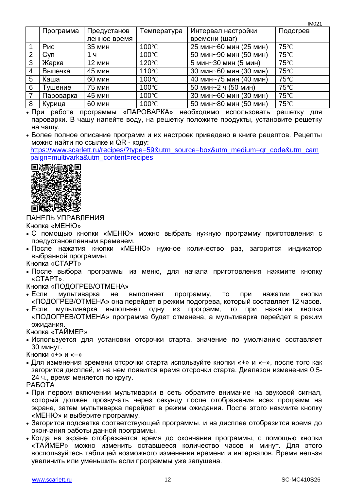|   |            |               |                 |                        | TIVIUZ I       |
|---|------------|---------------|-----------------|------------------------|----------------|
|   | Программа  | Предустанов   | Температура     | Интервал настройки     | Подогрев       |
|   |            | ленное время  |                 | времени (шаг)          |                |
|   | Рис        | <b>35 мин</b> | $100^{\circ}$ C | 25 мин~60 мин (25 мин) | $75^{\circ}$ C |
| 2 | <b>Cyn</b> | 1ч            | $100^{\circ}$ C | 50 мин~90 мин (50 мин) | $75^{\circ}$ C |
| 3 | Жарка      | 12 мин        | $120^{\circ}$ C | 5 мин~30 мин (5 мин)   | $75^{\circ}$ C |
| 4 | Выпечка    | 45 мин        | $110^{\circ}$ C | 30 мин~60 мин (30 мин) | $75^{\circ}$ C |
| 5 | Каша       | <b>60 мин</b> | $100^{\circ}$ C | 40 мин~75 мин (40 мин) | $75^{\circ}$ C |
| 6 | Тушение    | 75 мин        | $100^{\circ}$ C | 50 мин~2 ч (50 мин)    | $75^{\circ}$ C |
|   | Пароварка  | 45 мин        | $100^{\circ}$ C | 30 мин~60 мин (30 мин) | $75^{\circ}$ C |
| 8 | Курица     | <b>60 мин</b> | $100^{\circ}$ C | 50 мин~80 мин (50 мин) | $75^{\circ}$ C |

 При работе программы «ПАРОВАРКА» необходимо использовать решетку для пароварки. В чашу налейте воду, на решетку положите продукты, установите решетку на чашу.

 Более полное описание программ и их настроек приведено в книге рецептов. Рецепты можно найти по ссылке и QR - коду:

[https://www.scarlett.ru/recipes/?type=59&utm\\_source=box&utm\\_medium=qr\\_code&utm\\_cam](https://www.scarlett.ru/recipes/?type=59&utm_source=box&utm_medium=qr_code&utm_campaign=multivarka&utm_content=recipes) [paign=multivarka&utm\\_content=recipes](https://www.scarlett.ru/recipes/?type=59&utm_source=box&utm_medium=qr_code&utm_campaign=multivarka&utm_content=recipes)



ПАНЕЛЬ УПРАВЛЕНИЯ

Кнопка «МЕНЮ»

- С помощью кнопки «МЕНЮ» можно выбрать нужную программу приготовления с предустановленным временем.
- После нажатия кнопки «МЕНЮ» нужное количество раз, загорится индикатор выбранной программы.
- Кнопка «СТАРТ»
- После выбора программы из меню, для начала приготовления нажмите кнопку «СТАРТ».

Кнопка «ПОДОГРЕВ/ОТМЕНА»

- Если мультиварка не выполняет программу, то при нажатии кнопки «ПОДОГРЕВ/ОТМЕНА» она перейдет в режим подогрева, который составляет 12 часов.
- Если мультиварка выполняет одну из программ, то при нажатии кнопки «ПОДОГРЕВ/ОТМЕНА» программа будет отменена, а мультиварка перейдет в режим ожидания.

Кнопка «ТАЙМЕР»

 Используется для установки отсрочки старта, значение по умолчанию составляет 30 минут.

Кнопки «+» и «–»

 Для изменения времени отсрочки старта используйте кнопки «+» и «–», после того как загорится дисплей, и на нем появится время отсрочки старта. Диапазон изменения 0.5- 24 ч., время меняется по кругу.

РАБОТА

- При первом включении мультиварки в сеть обратите внимание на звуковой сигнал, который должен прозвучать через секунду после отображения всех программ на экране, затем мультиварка перейдет в режим ожидания. После этого нажмите кнопку «МЕНЮ» и выберите программу.
- Загорится подсветка соответствующей программы, и на дисплее отобразится время до окончания работы данной программы.
- Когда на экране отображается время до окончания программы, с помошью кнопки «ТАЙМЕР» можно изменить оставшееся количество часов и минут. Для этого воспользуйтесь таблицей возможного изменения времени и интервалов. Время нельзя увеличить или уменьшить если программы уже запущена.

 $IMO24$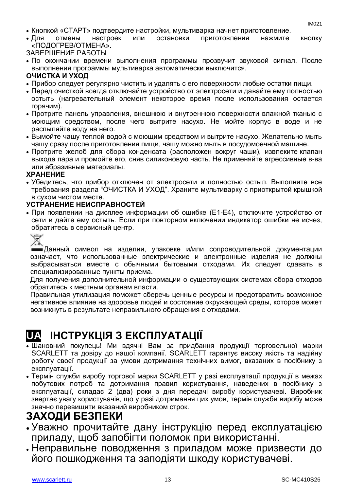- Кнопкой «СТАРТ» подтвердите настройки, мультиварка начнет приготовление.
- Для отмены настроек или остановки приготовления нажмите кнопку «ПОДОГРЕВ/ОТМЕНА».

ЗАВЕРШЕНИЕ РАБОТЫ

 По окончании времени выполнения программы прозвучит звуковой сигнал. После выполнения программы мультиварка автоматически выключится.

### **ОЧИСТКА И УХОД**

- Прибор следует регулярно чистить и удалять с его поверхности любые остатки пищи.
- Перед очисткой всегда отключайте устройство от электросети и давайте ему полностью остыть (нагревательный элемент некоторое время после использования остается горячим).
- Протрите панель управления, внешнюю и внутреннюю поверхности влажной тканью с моющим средством, после чего вытрите насухо. Не мойте корпус в воде и не распыляйте воду на него.
- Вымойте чашу теплой водой с моющим средством и вытрите насухо. Желательно мыть чашу сразу после приготовления пищи, чашу можно мыть в посудомоечной машине.
- Протрите желоб для сбора конденсата (расположен вокруг чаши), извлеките клапан выхода пара и промойте его, сняв силиконовую часть. Не применяйте агрессивные в-ва или абразивные материалы.

### **ХРАНЕНИЕ**

 Убедитесь, что прибор отключен от электросети и полностью остыл. Выполните все требования раздела "ОЧИСТКА И УХОД". Храните мультиварку с приоткрытой крышкой в сухом чистом месте.

### **УСТРАНЕНИЕ НЕИСПРАВНОСТЕЙ**

 При появлении на дисплее информации об ошибке (Е1-Е4), отключите устройство от сети и дайте ему остыть. Если при повторном включении индикатор ошибки не исчез, обратитесь в сервисный центр.



Данный символ на изделии, упаковке и/или сопроводительной документации означает, что использованные электрические и электронные изделия не должны выбрасываться вместе с обычными бытовыми отходами. Их следует сдавать в специализированные пункты приема.

Для получения дополнительной информации о существующих системах сбора отходов обратитесь к местным органам власти.

Правильная утилизация поможет сберечь ценные ресурсы и предотвратить возможное негативное влияние на здоровье людей и состояние окружающей среды, которое может возникнуть в результате неправильного обращения с отходами.

### **UA ІНСТРУКЦІЯ З ЕКСПЛУАТАЦІЇ**

- Шановний покупець! Ми вдячні Вам за придбання продукції торговельної марки SCARLETT та довіру до нашої компанії. SCARLETT гарантує високу якість та надійну роботу своєї продукції за умови дотримання технічних вимог, вказаних в посібнику з експлуатації.
- Термін служби виробу торгової марки SCARLETT у разі експлуатації продукції в межах побутових потреб та дотримання правил користування, наведених в посібнику з експлуатації, складає 2 (два) роки з дня передачі виробу користувачеві. Виробник звертає увагу користувачів, що у разі дотримання цих умов, термін служби виробу може значно перевищити вказаний виробником строк.

### **ЗАХОДИ БЕЗПЕКИ**

- Уважно прочитайте дану інструкцію перед експлуатацією приладу, щоб запобігти поломок при використанні.
- Неправильне поводження з приладом може призвести до його пошкодження та заподіяти шкоду користувачеві.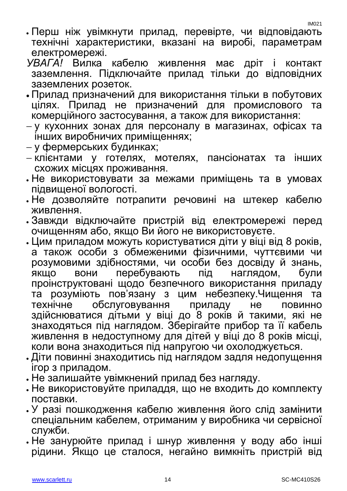IM021

- Перш ніж увімкнути прилад, перевірте, чи відповідають технічні характеристики, вказані на виробі, параметрам електромережі.
- *УВАГА!* Вилка кабелю живлення має дріт і контакт заземлення. Підключайте прилад тільки до відповідних заземлених розеток.
- Прилад призначений для використання тільки в побутових цілях. Прилад не призначений для промислового та комерційного застосування, а також для використання:
- у кухонних зонах для персоналу в магазинах, офісах та інших виробничих приміщеннях;
- у фермерських будинках;
- клієнтами у готелях, мотелях, пансіонатах та інших схожих місцях проживання.
- Не використовувати за межами приміщень та в умовах підвищеної вологості.
- Не дозволяйте потрапити речовині на штекер кабелю живлення.
- Завжди відключайте пристрій від електромережі перед очищенням або, якщо Ви його не використовуєте.
- Цим приладом можуть користуватися діти у віці від 8 років, а також особи з обмеженими фізичними, чуттєвими чи розумовими здібностями, чи особи без досвіду й знань, якщо вони перебувають під наглядом, були проінструктовані щодо безпечного використання приладу та розуміють пов'язану з цим небезпеку.Чищення та<br>технічне обслуговування приладу не повинно технічне обслуговування приладу не повинно здійснюватися дітьми у віці до 8 років й такими, які не знаходяться під наглядом. Зберігайте прибор та її кабель живлення в недоступному для дітей у віці до 8 років місці, коли вона знаходиться під напругою чи охолоджується.
- Діти повинні знаходитись під наглядом задля недопущення ігор з приладом.
- Не залишайте увімкнений прилад без нагляду.
- Не використовуйте приладдя, що не входить до комплекту поставки.
- У разі пошкодження кабелю живлення його слід замінити спеціальним кабелем, отриманим у виробника чи сервісної служби.
- Не занурюйте прилад і шнур живлення у воду або інші рідини. Якщо це сталося, негайно вимкніть пристрій від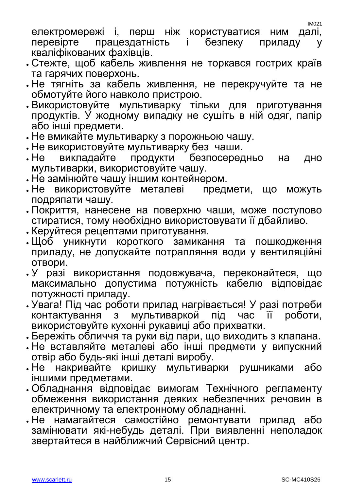електромережі і, перш ніж користуватися ним далі, перевірте працездатність і безпеку приладу у кваліфікованих фахівців.

- Стежте, щоб кабель живлення не торкався гострих країв та гарячих поверхонь.
- Не тягніть за кабель живлення, не перекручуйте та не обмотуйте його навколо пристрою.
- Використовуйте мультиварку тільки для приготування продуктів. У жодному випадку не сушіть в ній одяг, папір або інші предмети.
- Не вмикайте мультиварку з порожньою чашу.
- Не використовуйте мультиварку без чаши.
- Не викладайте продукти безпосередньо на дно мультиварки, використовуйте чашу.
- 
- . Не замінюйте чашу іншим контейнером.<br>. Не використовуйте металеві предмети, що Не використовуйте металеві предмети, що можуть подряпати чашу.
- Покриття, нанесене на поверхню чаши, може поступово стиратися, тому необхідно використовувати її дбайливо.
- Керуйтеся рецептами приготування.
- Щоб уникнути короткого замикання та пошкодження приладу, не допускайте потрапляння води у вентиляційні отвори.
- У разі використання подовжувача, переконайтеся, що максимально допустима потужність кабелю відповідає потужності приладу.
- Увага! Під час роботи прилад нагрівається! У разі потреби контактування з мультиваркой під час її роботи, використовуйте кухонні рукавиці або прихватки.
- Бережіть обличчя та руки від пари, що виходить з клапана.
- Не вставляйте металеві або інші предмети у випускний отвір або будь-які інші деталі виробу.
- Не накривайте кришку мультиварки рушниками або іншими предметами.
- Обладнання відповідає вимогам Технічного регламенту обмеження використання деяких небезпечних речовин в електричному та електронному обладнанні.
- Не намагайтеся самостійно ремонтувати прилад або замінювати які-небудь деталі. При виявленні неполадок звертайтеся в найближчий Сервісний центр.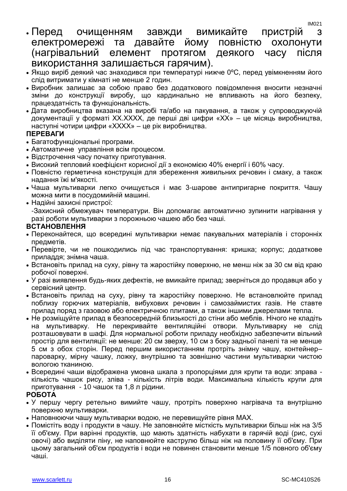- Перед очищенням завжди вимикайте пристрій з електромережі та давайте йому повністю охолонути (нагрівальний елемент протягом деякого часу після використання залишається гарячим).
- Якщо виріб деякий час знаходився при температурі нижче 0°С, перед увімкненням його слід витримати у кімнаті не менше 2 годин.
- Виробник залишає за собою право без додаткового повідомлення вносити незначні зміни до конструкції виробу, що кардинально не впливають на його безпеку, працездатність та функціональність.
- Дата виробництва вказана на виробі та/або на пакування, а також у супроводжуючій документації у форматі XX.XXXX, де перші дві цифри «XX» – це місяць виробництва, наступні чотири цифри «XXXX» – це рік виробництва.

### **ПЕРЕВАГИ**

- Багатофункціональні програми.
- Автоматичне управління всім процесом.
- Відстрочення часу початку приготування.
- Високий тепловий коефіцієнт корисної дії з економією 40% енергії і 60% часу.
- Повністю герметична конструкція для збереження живильних речовин і смаку, а також надання їжі м'якості.
- Чаша мультиварки легко очищується і має 3-шарове антипригарне покриття. Чашу можна мити в посудомийній машині.
- Надійні захисні пристрої: -Захисний обмежувач температури. Він допомагає автоматично зупинити нагрівання у разі роботи мультиварки з порожньою чашею або без чаші.

### **ВСТАНОВЛЕННЯ**

- Переконайтеся, що всередині мультиварки немає пакувальних матеріалів і сторонніх предметів.
- Перевірте, чи не пошкодились під час транспортування: кришка; корпус; додаткове приладдя; знімна чаша.
- Встановіть прилад на суху, рівну та жаростійку поверхню, не менш ніж за 30 см від краю робочої поверхні.
- У разі виявлення будь-яких дефектів, не вмикайте прилад; зверніться до продавця або у сервісний центр.
- Встановіть прилад на суху, рівну та жаростійку поверхню. Не встановлюйте прилад поблизу горючих матеріалів, вибухових речовин і самозаймистих газів. Не ставте прилад поряд з газовою або електричною плитами, а також іншими джерелами тепла.
- Не розміщуйте прилад в безпосередній близькості до стіни або меблів. Нічого не кладіть на мультиварку. Не перекривайте вентиляційні отвори. Мультиварку не слід розташовувати в шафі. Для нормальної роботи приладу необхідно забезпечити вільний простір для вентиляції: не менше: 20 см зверху, 10 см з боку задньої панелі та не менше 5 см з обох сторін. Перед першим використанням протріть знімну чашу, контейнер– пароварку, мірну чашку, ложку, внутрішню та зовнішню частини мультиварки чистою вологою тканиною.
- Всередині чаши відображена умовна шкала з пропорціями для крупи та води: зправа кількість чашок рису, зліва - кількість літрів води. Максимальна кількість крупи для приготування - 10 чашок та 1,8 л рідини.

### **РОБОТА**

- У першу чергу ретельно вимийте чашу, протріть поверхню нагрівача та внутрішню поверхню мультиварки.
- Наповнюючи чашу мультиварки водою, не перевищуйте рівня МАХ.
- Помістіть воду і продукти в чашу. Не заповнюйте місткість мультиварки більш ніж на 3/5 її об'єму. При варінні продуктів, що мають здатність набухати в гарячій воді (рис, сухі овочі) або виділяти піну, не наповнюйте каструлю більш ніж на половину її об'єму. При цьому загальний об'єм продуктів і води не повинен становити менше 1/5 повного об'єму чаші.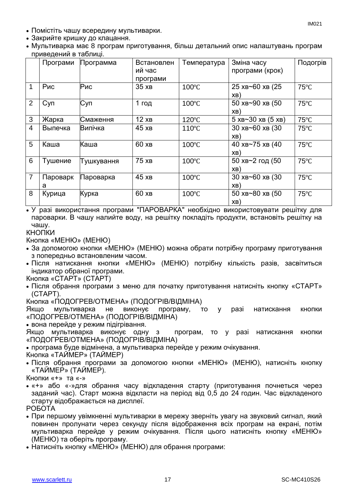- Помістіть чашу всередину мультиварки.
- Закрийте кришку до клацання.
- Мультиварка має 8 програм приготування, більш детальний опис налаштувань програм приведений в таблиці.

|                | . .<br>Програми | Программа  | Встановлен | Температура     | Зміна часу                                 | Подогрів       |
|----------------|-----------------|------------|------------|-----------------|--------------------------------------------|----------------|
|                |                 |            | ий час     |                 | програми (крок)                            |                |
|                |                 |            | програми   |                 |                                            |                |
|                | Рис             | Рис        | 35xB       | $100^{\circ}$ C | 25 XB~60 XB (25                            | $75^{\circ}$ C |
|                |                 |            |            |                 | XB)                                        |                |
| $\overline{2}$ | <b>Суп</b>      | <b>Суп</b> | 1 год      | $100^{\circ}$ C | 50 XB~90 XB (50                            | $75^{\circ}$ C |
|                |                 |            |            |                 | XB)                                        |                |
| 3              | Жарка           | Смаження   | 12xB       | $120^{\circ}$ C | $5 \times B \sim 30 \times B (5 \times B)$ | $75^{\circ}$ C |
| 4              | Выпечка         | Випічка    | 45xB       | 110°C           | 30 хв~60 хв (30                            | $75^{\circ}$ C |
|                |                 |            |            |                 | XB)                                        |                |
| 5              | Каша            | Каша       | 60xB       | 100°C           | 40 хв~75 хв (40                            | $75^{\circ}$ C |
|                |                 |            |            |                 | XB)                                        |                |
| 6              | Тушение         | Тушкування | 75xB       | $100^{\circ}$ C | 50 хв~2 год (50                            | $75^{\circ}$ C |
|                |                 |            |            |                 | XB)                                        |                |
| 7              | Пароварк        | Пароварка  | 45xB       | $100^{\circ}$ C | 30 XB~60 XB (30                            | $75^{\circ}$ C |
|                | a               |            |            |                 | XB)                                        |                |
| 8              | Курица          | Курка      | 60 XB      | $100^{\circ}$ C | 50 XB~80 XB (50                            | $75^{\circ}$ C |
|                |                 |            |            |                 | XB)                                        |                |

 У разі використання програми "ПАРОВАРКА" необхідно використовувати решітку для пароварки. В чашу налийте воду, на решітку покладіть продукти, встановіть решітку на чашу.

### КНОПКИ

Кнопка «МЕНЮ» (МЕНЮ)

- За допомогою кнопки «МЕНЮ» (МЕНЮ) можна обрати потрібну програму приготування з попередньо встановленим часом.
- Після натискання кнопки «МЕНЮ» (МЕНЮ) потрібну кількість разів, засвітиться індикатор обраної програми.

Кнопка «СТАРТ» (СТАРТ)

 Після обрання програми з меню для початку приготування натисніть кнопку «СТАРТ» (СТАРТ).

Кнопка «ПОДОГРЕВ/ОТМЕНА» (ПОДОГРIВ/ВІДМІНА)

Якщо мультиварка не виконує програму, то у разі натискання кнопки «ПОДОГРЕВ/ОТМЕНА» (ПОДОГРIВ/ВІДМІНА)

вона перейде у режим підігрівання.

Якщо мультиварка виконує одну з програм, то у разі натискання кнопки «ПОДОГРЕВ/ОТМЕНА» (ПОДОГРIВ/ВІДМІНА)

програма буде відмінена, а мультиварка перейде у режим очікування.

Кнопка «ТАЙМЕР» (ТАЙМЕР)

 Після обрання програми за допомогою кнопки «МЕНЮ» (МЕНЮ), натисніть кнопку «ТАЙМЕР» (ТАЙМЕР).

Кнопки «+» та «-»

 «+» або «-»для обрання часу відкладення старту (приготування почнеться через заданий час). Старт можна відкласти на період від 0,5 до 24 годин. Час відкладеного старту відображається на дисплеї.

РОБОТА

- При першому увімкненні мультиварки в мережу зверніть увагу на звуковий сигнал, який повинен пролунати через секунду після відображення всіх програм на екрані, потім мультиварка перейде у режим очікування. Після цього натисніть кнопку «МЕНЮ» (МЕНЮ) та оберіть програму.
- Натисніть кнопку «МЕНЮ» (МЕНЮ) для обрання програми: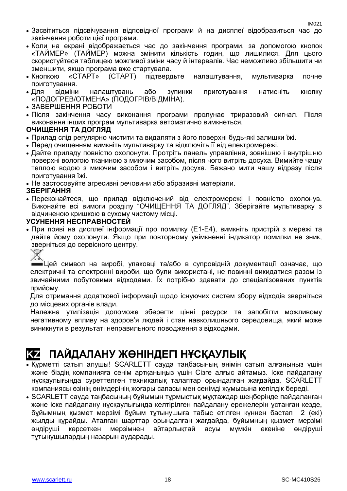- Засвітиться підсвічування відповідної програми й на дисплеї відобразиться час до закінчення роботи цієї програми.
- Коли на екрані відображається час до закінчення програми, за допомогою кнопок «ТАЙМЕР» (ТАЙМЕР) можна змінити кількість годин, що лишилися. Для цього скористуйтеся таблицею можливої зміни часу й інтервалів. Час неможливо збільшити чи зменшити, якщо програма вже стартувала.
- Кнопкою «СТАРТ» (СТАРТ) підтвердьте налаштування, мультиварка почне приготування.
- Для відміни налаштувань або зупинки приготування натисніть кнопку «ПОДОГРЕВ/ОТМЕНА» (ПОДОГРIВ/ВІДМІНА).
- ЗАВЕРШЕННЯ РОБОТИ
- Після закінчення часу виконання програми пролунає триразовий сигнал. Після виконання інших програм мультиварка автоматично вимкнеться.

### **ОЧИЩЕННЯ ТА ДОГЛЯД**

- Прилад слід регулярно чистити та видаляти з його поверхні будь-які залишки їжі.
- Перед очищенням вимкніть мультиварку та відключіть її від електромережі.
- Дайте приладу повністю охолонути. Протріть панель управління, зовнішню і внутрішню поверхні вологою тканиною з миючим засобом, після чого витріть досуха. Вимийте чашу теплою водою з миючим засобом і витріть досуха. Бажано мити чашу відразу після приготування їжі.

Не застосовуйте агресивні речовини або абразивні матеріали.

### **ЗБЕРІГАННЯ**

 Переконайтеся, що прилад відключений від електромережі і повністю охолонув. Виконайте всі вимоги розділу "ОЧИЩЕННЯ ТА ДОГЛЯД". Зберігайте мультиварку з відчиненою кришкою в сухому чистому місці.

### **УСУНЕННЯ НЕСПРАВНОСТЕЙ**

 При появі на дисплеї інформації про помилку (Е1-Е4), вимкніть пристрій з мережі та дайте йому охолонути. Якщо при повторному увімкненні індикатор помилки не зник, зверніться до сервісного центру.



Цей символ на виробі, упаковці та/або в супровідній документації означає, що електричні та електронні вироби, що були використані, не повинні викидатися разом із звичайними побутовими відходами. Їх потрібно здавати до спеціалізованих пунктів прийому.

Для отримання додаткової інформації щодо існуючих систем збору відходів зверніться до місцевих органів влади.

Належна утилізація допоможе зберегти цінні ресурси та запобігти можливому негативному впливу на здоров'я людей і стан навколишнього середовища, який може виникнути в результаті неправильного поводження з відходами.

## **KZ ПАЙДАЛАНУ ЖӨНІНДЕГІ НҰСҚАУЛЫҚ**

- Құрметті сатып алушы! SCARLETT сауда таңбасының өнімін сатып алғаныңыз үшін және біздің компанияға сенім артқаныңыз үшін Сізге алғыс айтамыз. Іске пайдалану нұсқаулығында суреттелген техникалық талаптар орындалған жағдайда, SCARLETT компаниясы өзінің өнімдерінің жоғары сапасы мен сенімді жұмысына кепілдік береді.
- SCARLETT сауда таңбасының бұйымын тұрмыстық мұқтаждар шеңберінде пайдаланған және іске пайдалану нұсқаулығында келтірілген пайдалану ережелерін ұстанған кезде, бұйымның қызмет мерзімі бұйым тұтынушыға табыс етілген күннен бастап 2 (екі) жылды құрайды. Аталған шарттар орындалған жағдайда, бұйымның қызмет мерзімі өндіруші көрсеткен мерзімнен айтарлықтай асуы мүмкін екеніне өндіруші тұтынушылардың назарын аударады.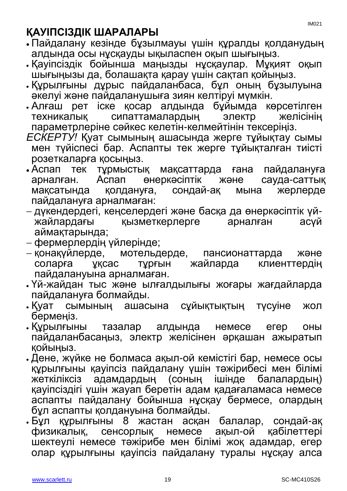## **ҚАУІПСІЗДІК ШАРАЛАРЫ**

- Пайдалану кезінде бұзылмауы үшін құралды қолданудың алдында осы нұсқауды ықыласпен оқып шығыңыз.
- Қауіпсіздік бойынша маңызды нұсқаулар. Мұқият оқып шығыңызы да, болашақта қарау үшін сақтап қойыңыз.
- Құрылғыны дұрыс пайдаланбаса, бұл оның бұзылуына әкелуі және пайдаланушыға зиян келтіруі мүмкін.
- Алғаш рет іске қосар алдында бұйымда көрсетілген техникалық сипаттамалардың электр желісінің параметрлеріне сәйкес келетін-келмейтінін тексеріңіз.
- *ЕСКЕРТУ!* Қуат сымының ашасында жерге тұйықтау сымы мен түйіспесі бар. Аспапты тек жерге тұйықталған тиісті розеткаларға қосыңыз.
- Аспап тек тұрмыстық мақсаттарда ғана пайдалануға арналған. Аспап өнеркәсіптік және сауда-саттық мақсатында қолдануға, сондай-ақ мына жерлерде пайдалануға арналмаған:
- дүкендердегі, кеңселердегі және басқа да өнеркәсіптік үйжайлардағы қызметкерлерге арналған асүй аймақтарында;
- фермерлердің үйлерінде;
- қонақүйлерде, мотельдерде, пансионаттарда және<br>соларға ұқсас тұрғын жайларда клиенттердің соларға ұқсас тұрғын жайларда клиенттердің пайдалануына арналмаған.
- Үй-жайдан тыс және ылғалдылығы жоғары жағдайларда пайдалануға болмайды.
- Қуат сымының ашасына сұйықтықтың түсуіне жол бермеңіз.
- Құрылғыны тазалар алдында немесе егер оны пайдаланбасаңыз, электр желісінен әрқашан ажыратып қойыңыз.
- Дене, жүйке не болмаса ақыл-ой кемістігі бар, немесе осы құрылғыны қауіпсіз пайдалану үшін тәжірибесі мен білімі жеткіліксіз адамдардың (соның ішінде балалардың) қауіпсіздігі үшін жауап беретін адам қадағаламаса немесе аспапты пайдалану бойынша нұсқау бермесе, олардың бұл аспапты қолдануына болмайды.
- Бұл құрылғыны 8 жастан асқан балалар, сондай-ақ физикалық, сенсорлық немесе ақыл-ой қабілеттері шектеулі немесе тәжірибе мен білімі жоқ адамдар, егер олар құрылғыны қауіпсіз пайдалану туралы нұсқау алса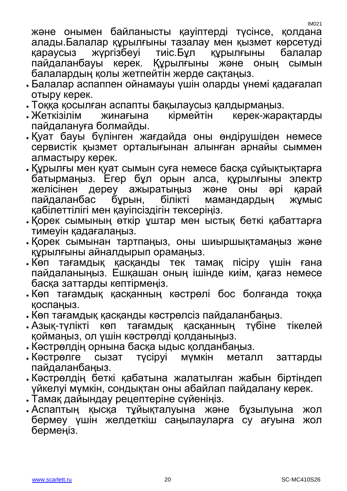IM021

және онымен байланысты қауіптерді түсінсе, қолдана алады.Балалар құрылғыны тазалау мен қызмет көрсетуді қараусыз жүргізбеуі тиіс.Бұл құрылғыны балалар<br>пайдаланбауы керек. Құрылғыны және оның сымын пайдаланбауы керек. Құрылғыны және оның сымын балалардың қолы жетпейтін жерде сақтаңыз.

- Балалар аспаппен ойнамауы үшін оларды үнемі қадағалап отыру керек.
- Тоққа қосылған аспапты бақылаусыз қалдырмаңыз.
- Жеткізілім жинағына кірмейтін керек-жарақтарды пайдалануға болмайды.
- Қуат бауы бүлінген жағдайда оны өндірушіден немесе сервистік қызмет орталығынан алынған арнайы сыммен алмастыру керек.
- Құрылғы мен қуат сымын суға немесе басқа сұйықтықтарға батырмаңыз. Егер бұл орын алса, құрылғыны электр желісінен дереу ажыратыңыз және оны әрі қарай пайдаланбас бұрын, білікті мамандардың жұмыс қабілеттілігі мен қауіпсіздігін тексеріңіз.
- Қорек сымының өткір ұштар мен ыстық беткі қабаттарға тимеуін қадағалаңыз.
- Қорек сымынан тартпаңыз, оны шиыршықтамаңыз және құрылғыны айналдырып орамаңыз.
- Көп тағамдық қасқанды тек тамақ пісіру үшін ғана пайдаланыңыз. Ешқашан оның ішінде киім, қағаз немесе басқа заттарды кептірмеңіз.
- Көп тағамдық қасқанның кәстрөлі бос болғанда тоққа қоспаңыз.
- Көп тағамдық қасқанды кәстрөлсіз пайдаланбаңыз.
- Азық-түлікті көп тағамдық қасқанның түбіне тікелей қоймаңыз, ол үшін кәстрөлді қолданыңыз.
- Кәстрөлдің орнына басқа ыдыс қолданбаңыз.
- Кәстрөлге сызат түсіруі мүмкін металл заттарды пайдаланбаңыз.
- Кәстрөлдің беткі қабатына жалатылған жабын біртіндеп үйкелуі мүмкін, сондықтан оны абайлап пайдалану керек.
- Тамақ дайындау рецептеріне сүйеніңіз.
- Аспаптың қысқа тұйықталуына және бұзылуына жол бермеу үшін желдеткіш саңылауларға су ағуына жол бермеңіз.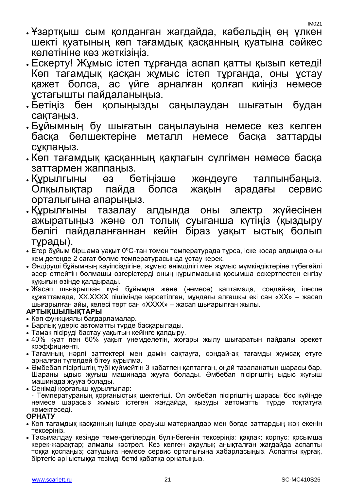- Ұзартқыш сым қолданған жағдайда, кабельдің ең үлкен шекті қуатының көп тағамдық қасқанның қуатына сәйкес келетініне көз жеткізіңіз.
- Ескерту! Жұмыс істеп тұрғанда аспап қатты қызып кетеді! Көп тағамдық қасқан жұмыс істеп тұрғанда, оны ұстау қажет болса, ас үйге арналған қолғап киіңіз немесе ұстағышты пайдаланыңыз.
- Бетіңіз бен қолыңызды саңылаудан шығатын будан сақтаңыз.
- Бұйымның бу шығатын саңылауына немесе кез келген басқа бөлшектеріне металл немесе басқа заттарды сұқпаңыз.
- Көп тағамдық қасқанның қақпағын сүлгімен немесе басқа заттармен жаппаңыз.
- Құрылғыны өз бетіңізше жөндеуге талпынбаңыз. Олқылықтар пайда болса жақын арадағы сервис орталығына апарыңыз.
- Құрылғыны тазалау алдында оны электр жүйесінен ажыратыңыз және ол толық суығанша күтіңіз (қыздыру бөлігі пайдаланғаннан кейін біраз уақыт ыстық болып тұрады).
- Егер бұйым біршама уақыт 0ºC-тан төмен температурада тұрса, іске қосар алдында оны кем дегенде 2 сағат бөлме температурасында ұстау керек.
- Өндіруші бұйымның қауіпсіздігіне, жұмыс өнімділігі мен жұмыс мүмкіндіктеріне түбегейлі әсер етпейтін болмашы өзгерістерді оның құрылмасына қосымша ескертпестен енгізу құқығын өзінде қалдырады.
- Жасап шығарылған күні бұйымда және (немесе) қаптамада, сондай-ақ ілеспе құжаттамада, XX.XXXX пішімінде көрсетілген, мұндағы алғашқы екі сан «XX» – жасап шығарылған айы, келесі төрт сан «XXXX» – жасап шығарылған жылы.

### **АРТЫҚШЫЛЫҚТАРЫ**

- Көп функциялы бағдарламалар.
- Барлық үдеріс автоматты түрде басқарылады.
- Тамақ пісіруді бастау уақытын кейінге қалдыру.
- 40% қуат пен 60% уақыт үнемделетін, жоғары жылу шығаратын пайдалы әрекет коэффициенті.
- Тағамның нәрлі заттектері мен дәмін сақтауға, сондай-ақ тағамды жұмсақ етуге арналған түгелдей бітеу құрылма.
- Әмбебап пісіргіштің түбі күймейтін 3 қабатпен қапталған, оңай тазаланатын шарасы бар. Шараны ыдыс жуғыш машинада жууға болады. Әмбебап пісіргіштің ыдыс жуғыш машинада жууға болады.
- Сенімді қорғағыш құрылғылар:
- Температураның қорғаныстық шектегіші. Ол әмбебап пісіргіштің шарасы бос күйінде немесе шарасыз жұмыс істеген жағдайда, қызуды автоматты түрде тоқтатуға көмектеседі.

### **ОРНАТУ**

- Көп тағамдық қасқанның ішінде орауыш материалдар мен бөгде заттардың жоқ екенін тексеріңіз.
- Тасымалдау кезінде төмендегілердің бүлінбегенін тексеріңіз: қақпақ; корпус; қосымша керек-жарақтар; алмалы кәстрөл. Кез келген ақаулық анықталған жағдайда аспапты тоққа қоспаңыз; сатушыға немесе сервис орталығына хабарласыңыз. Аспапты құрғақ, біртегіс әрі ыстыққа төзімді беткі қабатқа орнатыңыз.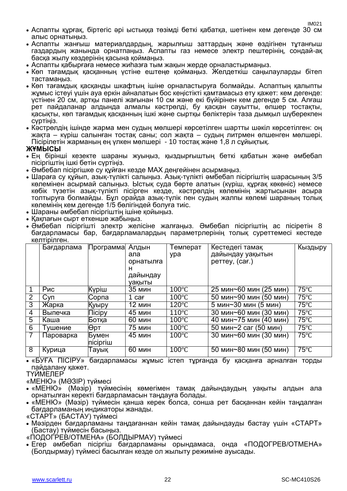- Аспапты құрғақ, біртегіс әрі ыстыққа төзімді беткі қабатқа, шетінен кем дегенде 30 см алыс орнатыңыз.
- Аспапты жанғыш материалдардың, жарылғыш заттардың және өздігінен тұтанғыш газдардың жанында орнатпаңыз. Аспапты газ немесе электр пештерінің, сондай-ақ басқа жылу көздерінің қасына қоймаңыз.
- Аспапты қабырғаға немесе жиһазға тым жақын жерде орналастырмаңыз.
- Көп тағамдық қасқанның үстіне ештеңе қоймаңыз. Желдеткіш саңылауларды бітеп тастамаңыз.
- Көп тағамдық қасқанды шкафтың ішіне орналастыруға болмайды. Аспаптың қалыпты жұмыс істеуі үшін ауа еркін айналатын бос кеңістікті қамтамасыз ету қажет: кем дегенде: үстінен 20 см, артқы панелі жағынан 10 см және екі бүйірінен кем дегенде 5 см. Алғаш рет пайдаланар алдында алмалы кәстрөлді, бу қасқан сауытты, өлшер тостақты, қасықты, көп тағамдық қасқанның ішкі және сыртқы бөліктерін таза дымқыл шүберекпен сүртіңіз.
- Кәстрөлдің ішінде жарма мен судың мөлшері көрсетілген шартты шәкіл көрсетілген: оң жақта – күріш салынған тостақ саны; сол жақта – судың литрмен өлшенген мөлшері. Пісірілетін жарманың ең үлкен мөлшері - 10 тостақ және 1,8 л сұйықтық.

### **ЖҰМЫСЫ**

- Ең бірінші кезекте шараны жуыңыз, қыздырғыштың беткі қабатын және әмбебап пісіргіштің ішкі бетін сүртіңіз.
- Әмбебап пісіргішке су құйған кезде МАХ деңгейінен асырмаңыз.
- Шараға су құйып, азық-түлікті салыңыз. Азық-түлікті әмбебап пісіргіштің шарасының 3/5 көлемінен асырмай салыңыз. Ыстық суда бөрте алатын (күріш, құрғақ көкөніс) немесе көбік түзетін азық-түлікті пісірген кезде, кәстрөлдің көлемінің жартысынан асыра толтыруға болмайды. Бұл орайда азық-түлік пен судың жалпы көлемі шараның толық көлемінің кем дегенде 1/5 бөлігіндей болуға тиіс.
- Шараны әмбебап пісіргіштің ішіне қойыңыз.
- Қақпағын сырт еткенше жабыңыз.
- Әмбебап пісіргішті электр желісіне жалғаңыз. Әмбебап пісіргіштің ас пісіретін 8 бағдарламасы бар, бағдарламалардың параметрлерінің толық суреттемесі кестеде келтірілген.

|                | Бағдарлама | Программа     | Алдын             | Температ        | Кестедегі тамақ        | Кыздыру        |
|----------------|------------|---------------|-------------------|-----------------|------------------------|----------------|
|                |            |               | ала               | ypa             | дайындау уақытын       |                |
|                |            |               | орнатылға         |                 | perrey, (car.)         |                |
|                |            |               | н                 |                 |                        |                |
|                |            |               | дайындау          |                 |                        |                |
|                |            |               | уақыты            |                 |                        |                |
| $\mathbf 1$    | Рис        | Күріш         | <b>35 мин</b>     | $100^{\circ}$ C | 25 мин~60 мин (25 мин) | $75^{\circ}$ C |
| 2              | <b>Суп</b> | Сорпа         | 1 ca <del>r</del> | $100^{\circ}$ C | 50 мин~90 мин (50 мин) | $75^{\circ}$ C |
| 3              | Жарка      | Куыру         | 12 мин            | $120^{\circ}$ C | 5 мин~30 мин (5 мин)   | $75^{\circ}$ C |
| $\overline{4}$ | Выпечка    | <b>Nicipy</b> | 45 мин            | $110^{\circ}$ C | 30 мин~60 мин (30 мин) | $75^{\circ}$ C |
| $\overline{5}$ | Каша       | Ботқа         | <b>60 мин</b>     | $100^{\circ}$ C | 40 мин~75 мин (40 мин) | $75^{\circ}$ C |
| 6              | Тушение    | ∣Өрт          | 75 мин            | $100^{\circ}$ C | 50 мин~2 саг (50 мин)  | $75^{\circ}$ C |
| $\overline{7}$ | Пароварка  | Бумен         | 45 мин            | $100^{\circ}$ C | 30 мин~60 мин (30 мин) | $75^{\circ}$ C |
|                |            | пісіргіш      |                   |                 |                        |                |
| 8              | Курица     | Гауық         | <b>60 мин</b>     | $100^{\circ}$ C | 50 мин~80 мин (50 мин) | $75^{\circ}$ C |

 «БУҒА ПІСІРУ» бағдарламасы жұмыс істеп тұрғанда бу қасқанға арналған торды пайдалану қажет.

ТҮИМЕЛЕР

«МЕНЮ» (МӘЗІР) түймесі

- «МЕНЮ» (Мәзір) түймесінің көмегімен тамақ дайындаудың уақыты алдын ала орнатылған керекті бағдарламасын таңдауға болады.
- «МЕНЮ» (Мәзір) түймесін қанша керек болса, сонша рет басқаннан кейін таңдалған бағдарламаның индикаторы жанады.

«СТАРТ» (БАСТАУ) түймесі

 Мәзірден бағдарламаны таңдағаннан кейін тамақ дайындауды бастау үшін «СТАРТ» (Бастау) түймесін басыңыз.

«ПОДОГРЕВ/ОТМЕНА» (БОЛДЫРМАУ) түймесі

 Егер әмбебап пісіргіш бағдарламаны орындамаса, онда «ПОДОГРЕВ/ОТМЕНА» (Болдырмау) түймесі басылған кезде ол жылыту режиміне ауысады.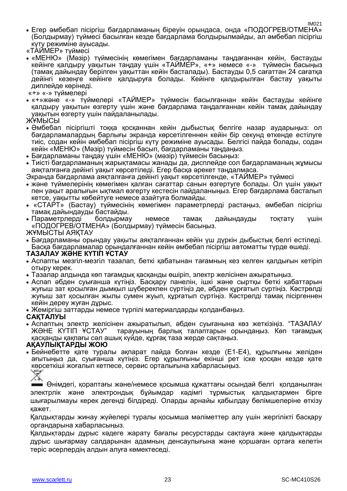- Егер әмбебап пісіргіш бағдарламаның біреуін орындаса, онда «ПОДОГРЕВ/ОТМЕНА» (Болдырмау) түймесі басылған кезде бағдарлама болдырылмайды, ал әмбебап пісіргіш күту режиміне ауысады.
- «ТАЙМЕР» түймесі
- «МЕНЮ» (Мәзір) түймесінің көмегімен бағдарламаны таңдағаннан кейін, бастауды кейінге қалдыру уақытын таңдау үшін «ТАЙМЕР», «+» немесе «-» түймесін басыңыз (тамақ дайындау берілген уақыттан кейін басталады). Бастауды 0,5 сағаттан 24 сағатқа дейінгі кезеңге кейінге қалдыруға болады. Кейінге қалдырылған бастау уақыты диплейде көрінеді.
- «+» «-» түймелері
- «+»және «-» түймелері «ТАЙМЕР» түймесін басылғаннан кейін бастауды кейінге қалдыру уақытын өзгерту үшін және бағдарлама таңдалғаннан кейін тамақ дайындау уақытын өзгерту үшін пайдаланылады.
- ЖҰМЫСЫ
- Әмбебап пісіргішті тоққа қосқаннан кейін дыбыстық белгіге назар аударыңыз: ол бағдарламалардың барлығы экранда көрсетілгеннен кейін бір секунд өткенде естілуге тиіс, содан кейін әмбебап пісіргіш күту режиміне ауысады. Белгісі пайда болады, содан кейін «МЕНЮ» (Мәзір) түймесін басып, бағдарламаны таңдаңыз.
- Бағдарламаны таңдау үшін «МЕНЮ» (мәзір) түймесін басыңыз:
- Тиісті бағдарламаның жарықтамасы жанады да, дисплейде сол бағдарламаның жұмысы аяқталғанға дейінгі уақыт көрсетіледі. Егер басқа әрекет таңдалмаса.
- Экранда бағдарлама аяқталғанға дейінгі уақыт көрсетілгенде, «ТАЙМЕР» түймесі
- және түймелерінің көмегімен қалған сағаттар санын өзгертуге болады. Ол үшін уақыт пен уақыт аралығын ықтмал өзгерту кестесін пайдаланыңыз. Егер бағдарлама басталып кетсе, уақытты көбейтуге немесе азайтуға болмайды.
- «СТАРТ» (Бастау) түймесінің көмегімен параметрлерді растаңыз, әмбебап пісіргіш тамақ дайындауды бастайды.
- Параметрлерді болдырмау немесе тамақ дайындауды тоқтату үшін «ПОДОГРЕВ/ОТМЕНА» (Болдырмау) түймесін басыңыз.
- ЖҰМЫСТЫ АЯҚТАУ
- Бағдарламаны орындау уақыты аяқталғаннан кейін үш дүркін дыбыстық белгі естіледі. Басқа бағдарламалар орындалғаннан кейін әмбебап пісіргіш автоматты түрде өшеді.

#### **ТАЗАЛАУ ЖӘНЕ КҮТІП ҰСТАУ**

- Аспапты мезгіл-мезгіл тазалап, беткі қабатынан тағамның кез келген қалдығын кетіріп отыру керек.
- Тазалар алдында көп тағамдық қасқанды өшіріп, электр желісінен ажыратыңыз.
- Аспап әбден суығанша күтіңіз. Басқару панелін, ішкі және сыртқы беткі қабаттарын жуғыш зат қосылған дымқыл шүберекпен сүртіңіз де, әбден құрғатып сүртіңіз. Кәстрөлді жуғыш зат қосылған жылы сумен жуып, құрғатып сүртіңіз. Кәстрөлді тамақ пісіргеннен кейін дереу жуған дұрыс.
- Жеміргіш заттарды немесе түрпілі материалдарды қолданбаңыз.

#### **САҚТАЛУЫ**

 Аспаптың электр желісінен ажыратылып, әбден суығанына көз жеткізіңіз. "ТАЗАЛАУ тарауының барлық талаптарын орындаңыз. Көп тағамдық қасқанды қақпағы сәл ашық күйде, құрғақ таза жерде сақтаңыз.

#### **АҚАУЛЫҚТАРДЫ ЖОЮ**

 Бейнебетте қате туралы ақпарат пайда болған кезде (Е1-Е4), құрылғыны желіден ағытыңыз да, суығанша күтіңіз. Егер құрылғыны екінші рет іске қосқан кезде қате көрсеткіші жоғалып кетпесе, сервис орталығына хабарласыңыз.

Өнімдегі, қораптағы және/немесе қосымша құжаттағы осындай белгі қолданылған электрлік және электрондық бұйымдар кәдімгі тұрмыстық қалдықтармен бірге шығарылмауы керек дегенді білдіреді. Оларды арнайы қабылдау бөлімшелеріне өткізу қажет.

Қалдықтарды жинау жүйелері туралы қосымша мәліметтер алу үшін жергілікті басқару органдарына хабарласыңыз.

Қалдықтарды дұрыс кәдеге жарату бағалы ресурстарды сақтауға және қалдықтарды дұрыс шығармау салдарынан адамның денсаулығына және қоршаған ортаға келетін теріс әсерлердің алдын алуға көмектеседі.